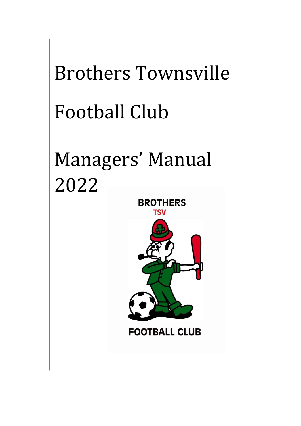# Brothers Townsville Football Club

# Managers' Manual 2022



**BROTHERS** 

**FOOTBALL CLUB**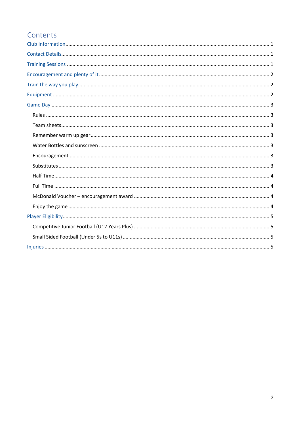# Contents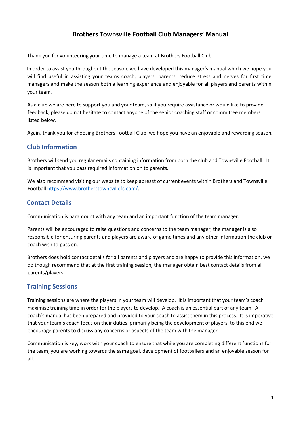# **Brothers Townsville Football Club Managers' Manual**

Thank you for volunteering your time to manage a team at Brothers Football Club.

In order to assist you throughout the season, we have developed this manager's manual which we hope you will find useful in assisting your teams coach, players, parents, reduce stress and nerves for first time managers and make the season both a learning experience and enjoyable for all players and parents within your team.

As a club we are here to support you and your team, so if you require assistance or would like to provide feedback, please do not hesitate to contact anyone of the senior coaching staff or committee members listed below.

Again, thank you for choosing Brothers Football Club, we hope you have an enjoyable and rewarding season.

# <span id="page-2-0"></span>**Club Information**

Brothers will send you regular emails containing information from both the club and Townsville Football. It is important that you pass required information on to parents.

We also recommend visiting our website to keep abreast of current events within Brothers and Townsville Football https://www.brotherstownsvillefc.com/.

# <span id="page-2-1"></span>**Contact Details**

Communication is paramount with any team and an important function of the team manager.

Parents will be encouraged to raise questions and concerns to the team manager, the manager is also responsible for ensuring parents and players are aware of game times and any other information the club or coach wish to pass on.

Brothers does hold contact details for all parents and players and are happy to provide this information, we do though recommend that at the first training session, the manager obtain best contact details from all parents/players.

# <span id="page-2-2"></span>**Training Sessions**

Training sessions are where the players in your team will develop. It is important that your team's coach maximise training time in order for the players to develop. A coach is an essential part of any team. A coach's manual has been prepared and provided to your coach to assist them in this process. It is imperative that your team's coach focus on their duties, primarily being the development of players, to this end we encourage parents to discuss any concerns or aspects of the team with the manager.

Communication is key, work with your coach to ensure that while you are completing different functions for the team, you are working towards the same goal, development of footballers and an enjoyable season for all.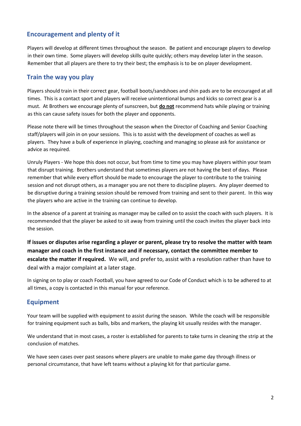# <span id="page-3-0"></span>**Encouragement and plenty of it**

Players will develop at different times throughout the season. Be patient and encourage players to develop in their own time. Some players will develop skills quite quickly; others may develop later in the season. Remember that all players are there to try their best; the emphasis is to be on player development.

# <span id="page-3-1"></span>**Train the way you play**

Players should train in their correct gear, football boots/sandshoes and shin pads are to be encouraged at all times. This is a contact sport and players will receive unintentional bumps and kicks so correct gear is a must. At Brothers we encourage plenty of sunscreen, but **do not** recommend hats while playing or training as this can cause safety issues for both the player and opponents.

Please note there will be times throughout the season when the Director of Coaching and Senior Coaching staff/players will join in on your sessions. This is to assist with the development of coaches as well as players. They have a bulk of experience in playing, coaching and managing so please ask for assistance or advice as required.

Unruly Players - We hope this does not occur, but from time to time you may have players within your team that disrupt training. Brothers understand that sometimes players are not having the best of days. Please remember that while every effort should be made to encourage the player to contribute to the training session and not disrupt others, as a manager you are not there to discipline players. Any player deemed to be disruptive during a training session should be removed from training and sent to their parent. In this way the players who are active in the training can continue to develop.

In the absence of a parent at training as manager may be called on to assist the coach with such players. It is recommended that the player be asked to sit away from training until the coach invites the player back into the session.

**If issues or disputes arise regarding a player or parent, please try to resolve the matter with team manager and coach in the first instance and if necessary, contact the committee member to escalate the matter if required.** We will, and prefer to, assist with a resolution rather than have to deal with a major complaint at a later stage.

In signing on to play or coach Football, you have agreed to our Code of Conduct which is to be adhered to at all times, a copy is contacted in this manual for your reference.

# <span id="page-3-2"></span>**Equipment**

Your team will be supplied with equipment to assist during the season. While the coach will be responsible for training equipment such as balls, bibs and markers, the playing kit usually resides with the manager.

We understand that in most cases, a roster is established for parents to take turns in cleaning the strip at the conclusion of matches.

We have seen cases over past seasons where players are unable to make game day through illness or personal circumstance, that have left teams without a playing kit for that particular game.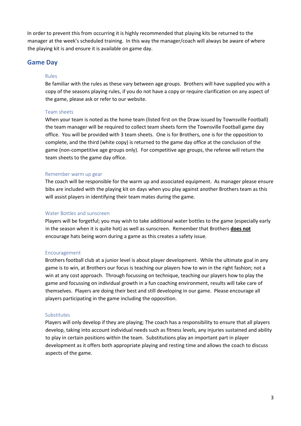In order to prevent this from occurring it is highly recommended that playing kits be returned to the manager at the week's scheduled training. In this way the manager/coach will always be aware of where the playing kit is and ensure it is available on game day.

#### <span id="page-4-1"></span><span id="page-4-0"></span>**Game Day**

#### Rules

Be familiar with the rules as these vary between age groups. Brothers will have supplied you with a copy of the seasons playing rules, if you do not have a copy or require clarification on any aspect of the game, please ask or refer to our website.

#### <span id="page-4-2"></span>Team sheets

When your team is noted as the home team (listed first on the Draw issued by Townsville Football) the team manager will be required to collect team sheets form the Townsville Football game day office. You will be provided with 3 team sheets. One is for Brothers, one is for the opposition to complete, and the third (white copy) is returned to the game day office at the conclusion of the game (non-competitive age groups only). For competitive age groups, the referee will return the team sheets to the game day office.

#### <span id="page-4-3"></span>Remember warm up gear

The coach will be responsible for the warm up and associated equipment. As manager please ensure bibs are included with the playing kit on days when you play against another Brothers team as this will assist players in identifying their team mates during the game.

#### <span id="page-4-4"></span>Water Bottles and sunscreen

Players will be forgetful; you may wish to take additional water bottles to the game (especially early in the season when it is quite hot) as well as sunscreen. Remember that Brothers **does not** encourage hats being worn during a game as this creates a safety issue.

#### <span id="page-4-5"></span>Encouragement

Brothers football club at a junior level is about player development. While the ultimate goal in any game is to win, at Brothers our focus is teaching our players how to win in the right fashion; not a win at any cost approach. Through focussing on technique, teaching our players how to play the game and focussing on individual growth in a fun coaching environment, results will take care of themselves. Players are doing their best and still developing in our game. Please encourage all players participating in the game including the opposition.

#### <span id="page-4-6"></span>Substitutes

Players will only develop if they are playing; The coach has a responsibility to ensure that all players develop, taking into account individual needs such as fitness levels, any injuries sustained and ability to play in certain positions within the team. Substitutions play an important part in player development as it offers both appropriate playing and resting time and allows the coach to discuss aspects of the game.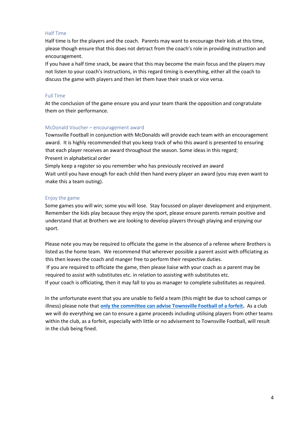#### <span id="page-5-0"></span>Half Time

Half time is for the players and the coach. Parents may want to encourage their kids at this time, please though ensure that this does not detract from the coach's role in providing instruction and encouragement.

If you have a half time snack, be aware that this may become the main focus and the players may not listen to your coach's instructions, in this regard timing is everything, either all the coach to discuss the game with players and then let them have their snack or vice versa.

#### <span id="page-5-1"></span>Full Time

At the conclusion of the game ensure you and your team thank the opposition and congratulate them on their performance.

#### <span id="page-5-2"></span>McDonald Voucher – encouragement award

Townsville Football in conjunction with McDonalds will provide each team with an encouragement award. It is highly recommended that you keep track of who this award is presented to ensuring that each player receives an award throughout the season. Some ideas in this regard; Present in alphabetical order

Simply keep a register so you remember who has previously received an award Wait until you have enough for each child then hand every player an award (you may even want to make this a team outing).

#### <span id="page-5-3"></span>Enjoy the game

Some games you will win; some you will lose. Stay focussed on player development and enjoyment. Remember the kids play because they enjoy the sport, please ensure parents remain positive and understand that at Brothers we are looking to develop players through playing and enjoying our sport.

Please note you may be required to officiate the game in the absence of a referee where Brothers is listed as the home team. We recommend that wherever possible a parent assist with officiating as this then leaves the coach and manger free to perform their respective duties.

If you are required to officiate the game, then please liaise with your coach as a parent may be required to assist with substitutes etc. in relation to assisting with substitutes etc.

If your coach is officiating, then it may fall to you as manager to complete substitutes as required.

In the unfortunate event that you are unable to field a team (this might be due to school camps or illness) please note that **only the committee can advise Townsville Football of a forfeit.** As a club we will do everything we can to ensure a game proceeds including utilising players from other teams within the club, as a forfeit, especially with little or no advisement to Townsville Football, will result in the club being fined.